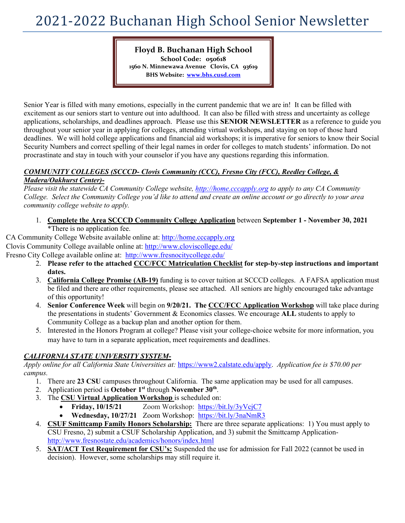# 2021-2022 Buchanan High School Senior Newsletter

**Floyd B. Buchanan High School School Code: 050618 1560 N. Minnewawa Avenue Clovis, CA 93619 BHS Website: [www.bhs.cusd.com](http://www.bhs.cusd.com/)**

Senior Year is filled with many emotions, especially in the current pandemic that we are in! It can be filled with excitement as our seniors start to venture out into adulthood. It can also be filled with stress and uncertainty as college applications, scholarships, and deadlines approach. Please use this **SENIOR NEWSLETTER** as a reference to guide you throughout your senior year in applying for colleges, attending virtual workshops, and staying on top of those hard deadlines. We will hold college applications and financial aid workshops; it is imperative for seniors to know their Social Security Numbers and correct spelling of their legal names in order for colleges to match students' information. Do not procrastinate and stay in touch with your counselor if you have any questions regarding this information.

#### *COMMUNITY COLLEGES (SCCCD- Clovis Community (CCC), Fresno City (FCC), Reedley College, & Madera/Oakhurst Center)-*

*Please visit the statewide CA Community College website, [http://home.cccapply.org](http://home.cccapply.org/) to apply to any CA Community College. Select the Community College you'd like to attend and create an online account or go directly to your area community college website to apply.* 

1. **Complete the Area SCCCD Community College Application** between **September 1 - November 30, 2021** \*There is no application fee.

CA Community College Website available online at: [http://home.cccapply.org](http://home.cccapply.org/)  Clovis Community College available online at:<http://www.cloviscollege.edu/> Fresno City College available online at: <http://www.fresnocitycollege.edu/>

- 2. **Please refer to the attached CCC/FCC Matriculation Checklist for step-by-step instructions and important dates.**
- 3. **California College Promise (AB-19)** funding is to cover tuition at SCCCD colleges. A FAFSA application must be filed and there are other requirements, please see attached. All seniors are highly encouraged take advantage of this opportunity!
- 4. **Senior Conference Week** will begin on **9/20/21. The CCC/FCC Application Workshop** will take place during the presentations in students' Government & Economics classes. We encourage **ALL** students to apply to Community College as a backup plan and another option for them.
- 5. Interested in the Honors Program at college? Please visit your college-choice website for more information, you may have to turn in a separate application, meet requirements and deadlines.

### *CALIFORNIA STATE UNIVERSITY SYSTEM-*

*Apply online for all California State Universities at:* [https://www2.calstate.edu/apply.](https://www2.calstate.edu/apply) *Application fee is \$70.00 per campus.*

- 1. There are **23 CSU** campuses throughout California. The same application may be used for all campuses.
- 2. Application period is **October 1st** through **November 30th**.
- 3. The **CSU Virtual Application Workshop** is scheduled on:
	- **Friday, 10/15/21** Zoom Workshop: <https://bit.ly/3yVcjC7>
		- **Wednesday, 10/27/21** Zoom Workshop: <https://bit.ly/3naNmR3>
- 4. **CSUF Smittcamp Family Honors Scholarship:** There are three separate applications: 1) You must apply to CSU Fresno, 2) submit a CSUF Scholarship Application, and 3) submit the Smittcamp Application<http://www.fresnostate.edu/academics/honors/index.html>
- 5. **SAT/ACT Test Requirement for CSU's:** Suspended the use for admission for Fall 2022 (cannot be used in decision). However, some scholarships may still require it.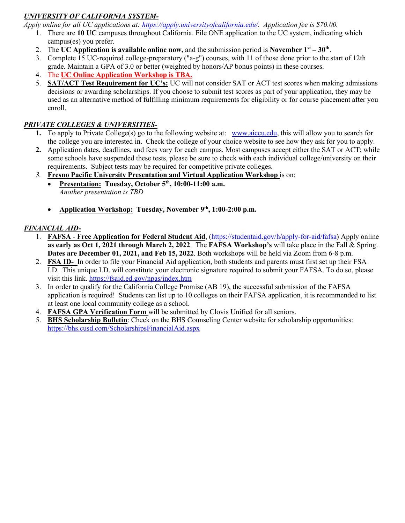## *UNIVERSITY OF CALIFORNIA SYSTEM-*

*Apply online for all UC applications at: [https://apply.universityofcalifornia.edu/.](https://apply.universityofcalifornia.edu/) Application fee is \$70.00.*

- 1. There are **10 UC** campuses throughout California. File ONE application to the UC system, indicating which campus(es) you prefer.
- 2. The **UC Application is available online now,** and the submission period is **November 1**<sup>st</sup>  $30<sup>th</sup>$ .
- 3. Complete 15 UC-required college-preparatory ("a-g") courses, with 11 of those done prior to the start of 12th
- grade. Maintain a GPA of 3.0 or better (weighted by honors/AP bonus points) in these courses.
- 4. The **UC Online Application Workshop is TBA.**
- 5. **SAT/ACT Test Requirement for UC's:** UC will not consider SAT or ACT test scores when making admissions decisions or awarding scholarships. If you choose to submit test scores as part of your application, they may be used as an alternative method of fulfilling minimum requirements for eligibility or for course placement after you enroll.

### *PRIVATE COLLEGES & UNIVERSITIES-*

- **1.** To apply to Private College(s) go to the following website at: [www.aiccu.edu,](http://www.aiccu.edu/) this will allow you to search for the college you are interested in. Check the college of your choice website to see how they ask for you to apply.
- **2.** Application dates, deadlines, and fees vary for each campus. Most campuses accept either the SAT or ACT; while some schools have suspended these tests, please be sure to check with each individual college/university on their requirements. Subject tests may be required for competitive private colleges.
- *3.* **Fresno Pacific University Presentation and Virtual Application Workshop** is on:
	- **Presentation: Tuesday, October 5th, 10:00-11:00 a.m.** *Another presentation is TBD*
	- **Application Workshop:** Tuesday, November 9<sup>th</sup>, 1:00-2:00 p.m.

### *FINANCIAL AID-*

- 1. **FAFSA Free Application for Federal Student Aid**, [\(https://studentaid.gov/h/apply-for-aid/fafsa\)](https://studentaid.gov/h/apply-for-aid/fafsa) Apply online **as early as Oct 1, 2021 through March 2, 2022**. The **FAFSA Workshop's** will take place in the Fall & Spring. **Dates are December 01, 2021, and Feb 15, 2022**. Both workshops will be held via Zoom from 6-8 p.m.
- 2. **FSA ID-** In order to file your Financial Aid application, both students and parents must first set up their FSA I.D. This unique I.D. will constitute your electronic signature required to submit your FAFSA. To do so, please visit this link.<https://fsaid.ed.gov/npas/index.htm>
- 3. In order to qualify for the California College Promise (AB 19), the successful submission of the FAFSA application is required! Students can list up to 10 colleges on their FAFSA application, it is recommended to list at least one local community college as a school.
- 4. **FAFSA GPA Verification Form** will be submitted by Clovis Unified for all seniors.
- 5. **BHS Scholarship Bulletin**: Check on the BHS Counseling Center website for scholarship opportunities: <https://bhs.cusd.com/ScholarshipsFinancialAid.aspx>